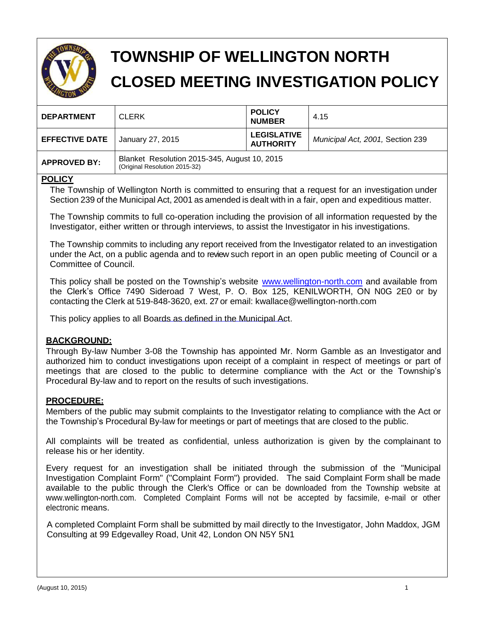

# **TOWNSHIP OF WELLINGTON NORTH CLOSED MEETING INVESTIGATION POLICY**

| <b>DEPARTMENT</b>     | <b>CLERK</b>                                                                  | <b>POLICY</b><br><b>NUMBER</b>         | 4.15                             |
|-----------------------|-------------------------------------------------------------------------------|----------------------------------------|----------------------------------|
| <b>EFFECTIVE DATE</b> | January 27, 2015                                                              | <b>LEGISLATIVE</b><br><b>AUTHORITY</b> | Municipal Act, 2001, Section 239 |
| <b>APPROVED BY:</b>   | Blanket Resolution 2015-345, August 10, 2015<br>(Original Resolution 2015-32) |                                        |                                  |

#### **POLICY**

The Township of Wellington North is committed to ensuring that a request for an investigation under Section 239 of the Municipal Act, 2001 as amended is dealt with in a fair, open and expeditious matter.

The Township commits to full co-operation including the provision of all information requested by the Investigator, either written or through interviews, to assist the Investigator in his investigations.

The Township commits to including any report received from the Investigator related to an investigation under the Act, on a public agenda and to review such report in an open public meeting of Council or a Committee of Council.

This policy shall be posted on the Township's website [www.wellington-north.com](http://www.wellington.ca/) and available from the Clerk's Office 7490 Sideroad 7 West, P. O. Box 125, KENILWORTH, ON N0G 2E0 or by contacting the Clerk at 519-848-3620, ext. 27 or email: kwallace@wellington-north.com

This policy applies to all Boards as defined in the Municipal Act.

#### **BACKGROUND:**

Through By-law Number 3-08 the Township has appointed Mr. Norm Gamble as an Investigator and authorized him to conduct investigations upon receipt of a complaint in respect of meetings or part of meetings that are closed to the public to determine compliance with the Act or the Township's Procedural By-law and to report on the results of such investigations.

#### **PROCEDURE:**

Members of the public may submit complaints to the Investigator relating to compliance with the Act or the Township's Procedural By-law for meetings or part of meetings that are closed to the public.

All complaints will be treated as confidential, unless authorization is given by the complainant to release his or her identity.

Every request for an investigation shall be initiated through the submission of the "Municipal Investigation Complaint Form" ("Complaint Form") provided. The said Complaint Form shall be made available to the public through the Clerk's Office or can be downloaded from the Township website at [www.wellington-north.com.](http://www.wellington-north.com/) Completed Complaint Forms will not be accepted by facsimile, e-mail or other electronic means.

A completed Complaint Form shall be submitted by mail directly to the Investigator, John Maddox, JGM Consulting at 99 Edgevalley Road, Unit 42, London ON N5Y 5N1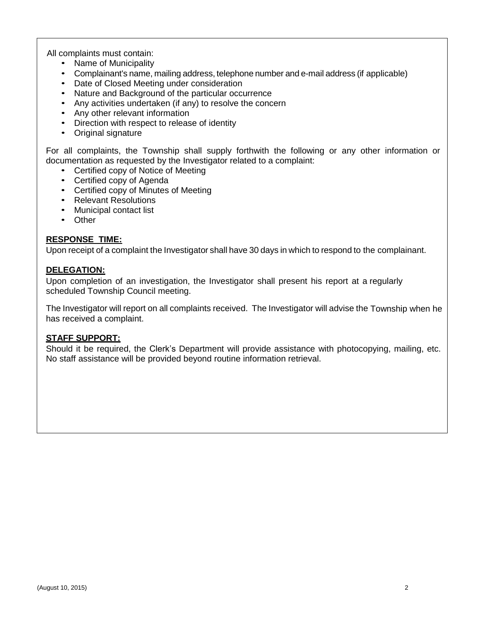All complaints must contain:

- Name of Municipality
- Complainant's name, mailing address, telephone number and e-mail address (if applicable)
- Date of Closed Meeting under consideration
- Nature and Background of the particular occurrence
- Any activities undertaken (if any) to resolve the concern
- Any other relevant information
- Direction with respect to release of identity
- Original signature

For all complaints, the Township shall supply forthwith the following or any other information or documentation as requested by the Investigator related to a complaint:

- Certified copy of Notice of Meeting
- Certified copy of Agenda
- Certified copy of Minutes of Meeting
- Relevant Resolutions
- Municipal contact list
- Other

#### **RESPONSE TIME:**

Upon receipt of a complaint the Investigator shall have 30 days in which to respond to the complainant.

#### **DELEGATION:**

Upon completion of an investigation, the Investigator shall present his report at a regularly scheduled Township Council meeting.

The Investigator will report on all complaints received. The Investigator will advise the Township when he has received a complaint.

#### **STAFF SUPPORT:**

Should it be required, the Clerk's Department will provide assistance with photocopying, mailing, etc. No staff assistance will be provided beyond routine information retrieval.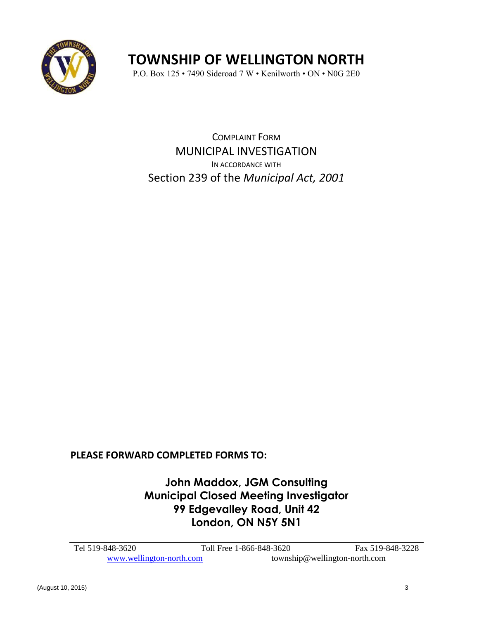

## **TOWNSHIP OF WELLINGTON NORTH**

P.O. Box 125 • 7490 Sideroad 7 W • Kenilworth • ON • N0G 2E0

COMPLAINT FORM MUNICIPAL INVESTIGATION IN ACCORDANCE WITH Section 239 of the *Municipal Act, 2001* 

**PLEASE FORWARD COMPLETED FORMS TO:** 

**John Maddox, JGM Consulting Municipal Closed Meeting Investigator 99 Edgevalley Road, Unit 42 London, ON N5Y 5N1**

| Tel 519-848-3620         | Toll Free 1-866-848-3620 | Fax 519-848-3228              |
|--------------------------|--------------------------|-------------------------------|
| www.wellington-north.com |                          | township@wellington-north.com |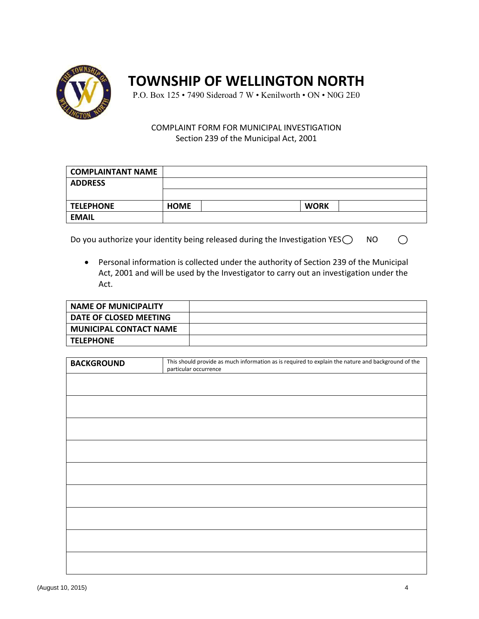

### **TOWNSHIP OF WELLINGTON NORTH**

P.O. Box 125 • 7490 Sideroad 7 W • Kenilworth • ON • N0G 2E0

#### COMPLAINT FORM FOR MUNICIPAL INVESTIGATION Section 239 of the Municipal Act, 2001

| I COMPLAINTANT NAME |             |             |  |
|---------------------|-------------|-------------|--|
| <b>ADDRESS</b>      |             |             |  |
|                     |             |             |  |
| <b>TELEPHONE</b>    | <b>HOME</b> | <b>WORK</b> |  |
| <b>EMAIL</b>        |             |             |  |

Do you authorize your identity being released during the Investigation YES $\bigcirc$  NO

 Personal information is collected under the authority of Section 239 of the Municipal Act, 2001 and will be used by the Investigator to carry out an investigation under the Act.

| NAME OF MUNICIPALITY          |  |
|-------------------------------|--|
| DATE OF CLOSED MEETING        |  |
| <b>MUNICIPAL CONTACT NAME</b> |  |
| <b>TELEPHONE</b>              |  |

| This should provide as much information as is required to explain the nature and background of the<br><b>BACKGROUND</b><br>particular occurrence |  |
|--------------------------------------------------------------------------------------------------------------------------------------------------|--|
|                                                                                                                                                  |  |
|                                                                                                                                                  |  |
|                                                                                                                                                  |  |
|                                                                                                                                                  |  |
|                                                                                                                                                  |  |
|                                                                                                                                                  |  |
|                                                                                                                                                  |  |
|                                                                                                                                                  |  |
|                                                                                                                                                  |  |
|                                                                                                                                                  |  |
|                                                                                                                                                  |  |
|                                                                                                                                                  |  |
|                                                                                                                                                  |  |
|                                                                                                                                                  |  |
|                                                                                                                                                  |  |
|                                                                                                                                                  |  |
|                                                                                                                                                  |  |
|                                                                                                                                                  |  |
|                                                                                                                                                  |  |
|                                                                                                                                                  |  |
|                                                                                                                                                  |  |
|                                                                                                                                                  |  |
|                                                                                                                                                  |  |
|                                                                                                                                                  |  |
|                                                                                                                                                  |  |
|                                                                                                                                                  |  |
|                                                                                                                                                  |  |
|                                                                                                                                                  |  |
|                                                                                                                                                  |  |
|                                                                                                                                                  |  |
|                                                                                                                                                  |  |

 $\bigcirc$